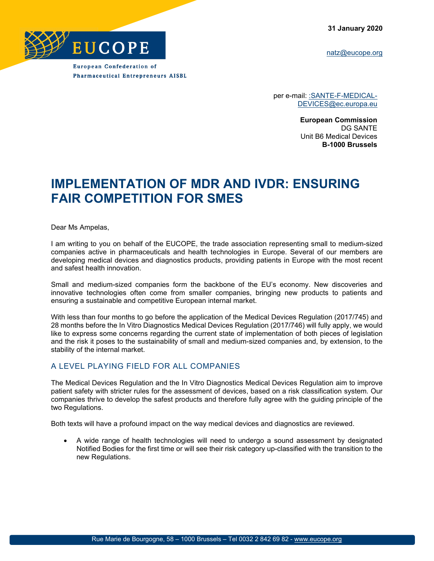**31 January 2020**

[natz@eucope.org](mailto:natz@eucope.org)



**European Confederation of Pharmaceutical Entrepreneurs AISBL** 

> per e-mail: : SANTE-F-MEDICAL-[DEVICES@ec.europa.eu](mailto:SANTE-F-MEDICAL-DEVICES@ec.europa.eu)

> > **European Commission** DG SANTE Unit B6 Medical Devices **B-1000 Brussels**

## **IMPLEMENTATION OF MDR AND IVDR: ENSURING FAIR COMPETITION FOR SMES**

Dear Ms Ampelas,

I am writing to you on behalf of the EUCOPE, the trade association representing small to medium-sized companies active in pharmaceuticals and health technologies in Europe. Several of our members are developing medical devices and diagnostics products, providing patients in Europe with the most recent and safest health innovation.

Small and medium-sized companies form the backbone of the EU's economy. New discoveries and innovative technologies often come from smaller companies, bringing new products to patients and ensuring a sustainable and competitive European internal market.

With less than four months to go before the application of the Medical Devices Regulation (2017/745) and 28 months before the In Vitro Diagnostics Medical Devices Regulation (2017/746) will fully apply, we would like to express some concerns regarding the current state of implementation of both pieces of legislation and the risk it poses to the sustainability of small and medium-sized companies and, by extension, to the stability of the internal market.

## A LEVEL PLAYING FIELD FOR ALL COMPANIES

The Medical Devices Regulation and the In Vitro Diagnostics Medical Devices Regulation aim to improve patient safety with stricter rules for the assessment of devices, based on a risk classification system. Our companies thrive to develop the safest products and therefore fully agree with the guiding principle of the two Regulations.

Both texts will have a profound impact on the way medical devices and diagnostics are reviewed.

• A wide range of health technologies will need to undergo a sound assessment by designated Notified Bodies for the first time or will see their risk category up-classified with the transition to the new Regulations.